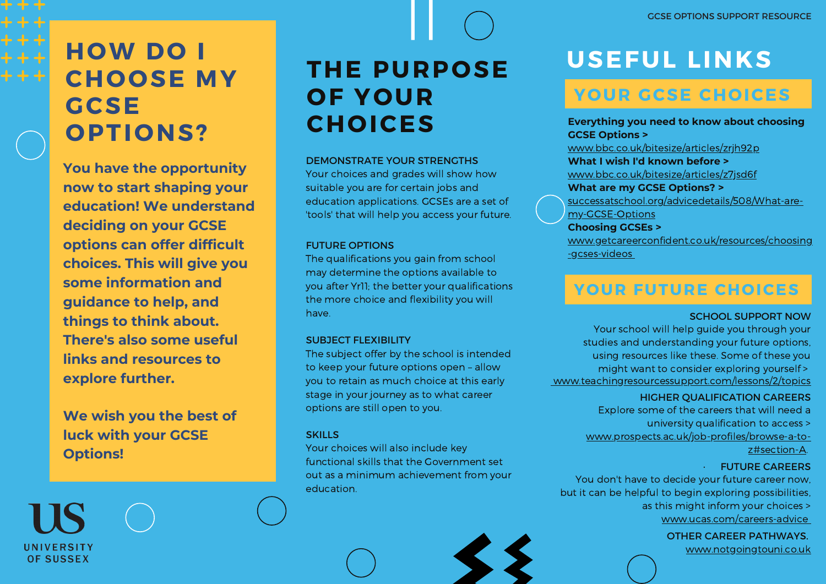# **HOW DO I CHOOSE MY GCSE OPTIONS?**

**You have the opportunity now to start shaping your education! We understand deciding on your GCSE options can offer difficult choices. This will give you some information and guidance to help, and things to think about. There's also some useful links and resources to explore further.**

**We wish you the best of luck with your GCSE Options!**

UNIVERSITY **OF SUSSEX** 

# **THE PURPOSE OF YOUR CHOICES**

#### DEMONSTRATE YOUR STRENGTHS

Your choices and grades will show how suitable you are for certain jobs and education applications. GCSEs are a set of 'tools' that will help you access your future.

#### FUTURE OPTIONS

The qualifications you gain from school may determine the options available to you after Yr11; the better your qualifications the more choice and flexibility you will have.

#### SUBJECT FLEXIBILITY

The subject offer by the school is intended to keep your future options open – allow you to retain as much choice at this early stage in your journey as to what career options are still open to you.

#### **SKILLS**

Your choices will also include key functional skills that the Government set out as a minimum achievement from your education.

# **USEFUL LINKS**

## **YOUR GCSE CHOICES**

**Everything you need to know about choosing GCSE Options >** [www.bbc.co.uk/bitesize/articles/zrjh92p](http://www.bbc.co.uk/bitesize/articles/zrjh92p) **What I wish I'd known before >** [www.bbc.co.uk/bitesize/articles/z7jsd6f](http://www.bbc.co.uk/bitesize/articles/z7jsd6f) **What are my GCSE Options? >** [successatschool.org/advicedetails/508/What-are](http://successatschool.org/advicedetails/508/What-are-my-GCSE-Options)my-GCSE-Options **Choosing GCSEs >** [www.getcareerconfident.co.uk/resources/choosing](http://www.getcareerconfident.co.uk/resources/choosing-gcses-videos)

-gcses-videos

### **YOUR FUTURE CHOICES**

#### SCHOOL SUPPORT NOW

Your school will help guide you through your studies and understanding your future options, using resources like these. Some of these you might want to consider exploring yourself > [www.teachingresourcessupport.com/lessons/2/topics](http://www.teachingresourcessupport.com/lessons/2/topics)

#### HIGHER QUALIFICATION CAREERS

Explore some of the careers that will need a

- university qualification to access >
- [www.prospects.ac.uk/job-profiles/browse-a-to-](http://www.prospects.ac.uk/job-profiles/browse-a-to-z#section-A)

z#section-A.

#### · FUTURE CAREERS

You don't have to decide your future career now, but it can be helpful to begin exploring possibilities, as this might inform your choices > [www.ucas.com/careers-advice](http://www.ucas.com/careers-advice)

OTHER CAREER PATHWAYS.

[www.notgoingtouni.co.uk](http://www.notgoingtouni.co.uk/)